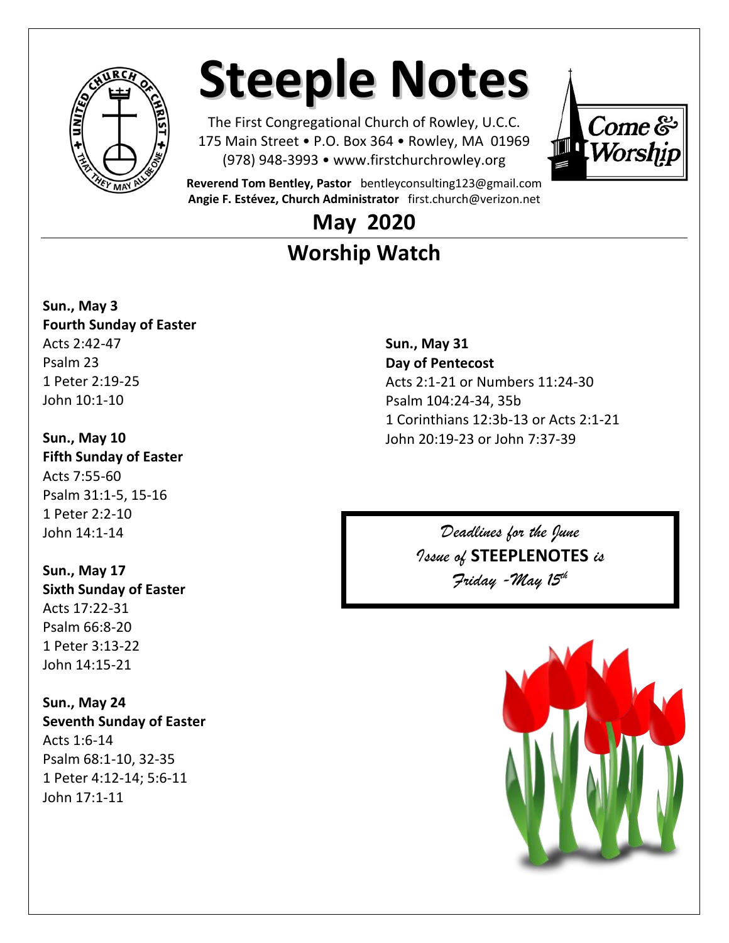

# **Steeple Notes**

The First Congregational Church of Rowley, U.C.C. 175 Main Street • P.O. Box 364 • Rowley, MA 01969 (978) 948-3993 • www.firstchurchrowley.org



**Reverend Tom Bentley, Pastor** bentleyconsulting123@gmail.com **Angie F. Estévez, Church Administrator** [first.church@verizon.net](mailto:first.church@verizon.net)

### **May 2020 Worship Watch**

**Sun., May 3 Fourth Sunday of Easter** Acts 2:42-47 Psalm 23 1 Peter 2:19-25 John 10:1-10

**Sun., May 10 Fifth Sunday of Easter** Acts 7:55-60 Psalm 31:1-5, 15-16 1 Peter 2:2-10 John 14:1-14

**Sun., May 17 Sixth Sunday of Easter** Acts 17:22-31 Psalm 66:8-20 1 Peter 3:13-22 John 14:15-21

**Sun., May 24 Seventh Sunday of Easter** Acts 1:6-14 Psalm 68:1-10, 32-35 1 Peter 4:12-14; 5:6-11 John 17:1-11

**Sun., May 31 Day of Pentecost** Acts 2:1-21 or Numbers 11:24-30 Psalm 104:24-34, 35b 1 Corinthians 12:3b-13 or Acts 2:1-21 John 20:19-23 or John 7:37-39

> *Deadlines for the June Issue of* **STEEPLENOTES** *is Friday -May 15th*

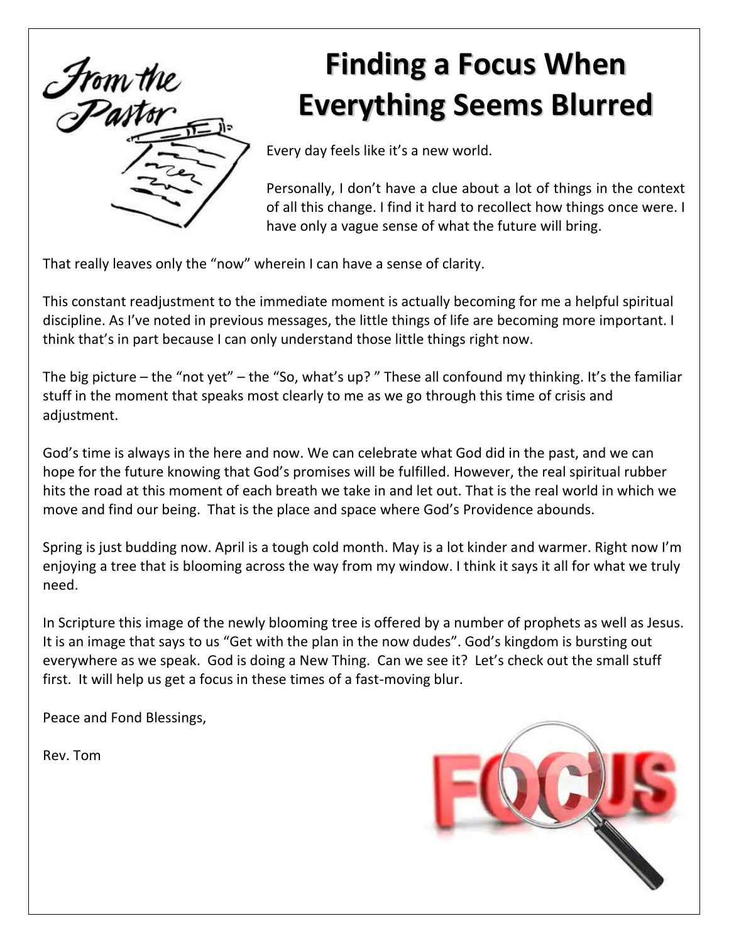

## **Finding a Focus When Everything Seems Blurred**

Every day feels like it's a new world.

Personally, I don't have a clue about a lot of things in the context of all this change. I find it hard to recollect how things once were. I have only a vague sense of what the future will bring.

That really leaves only the "now" wherein I can have a sense of clarity.

This constant readjustment to the immediate moment is actually becoming for me a helpful spiritual discipline. As I've noted in previous messages, the little things of life are becoming more important. I think that's in part because I can only understand those little things right now.

The big picture – the "not yet" – the "So, what's up? " These all confound my thinking. It's the familiar stuff in the moment that speaks most clearly to me as we go through this time of crisis and adjustment.

God's time is always in the here and now. We can celebrate what God did in the past, and we can hope for the future knowing that God's promises will be fulfilled. However, the real spiritual rubber hits the road at this moment of each breath we take in and let out. That is the real world in which we move and find our being. That is the place and space where God's Providence abounds.

Spring is just budding now. April is a tough cold month. May is a lot kinder and warmer. Right now I'm enjoying a tree that is blooming across the way from my window. I think it says it all for what we truly need.

In Scripture this image of the newly blooming tree is offered by a number of prophets as well as Jesus. It is an image that says to us "Get with the plan in the now dudes". God's kingdom is bursting out everywhere as we speak. God is doing a New Thing. Can we see it? Let's check out the small stuff first. It will help us get a focus in these times of a fast-moving blur.

Peace and Fond Blessings,

Rev. Tom

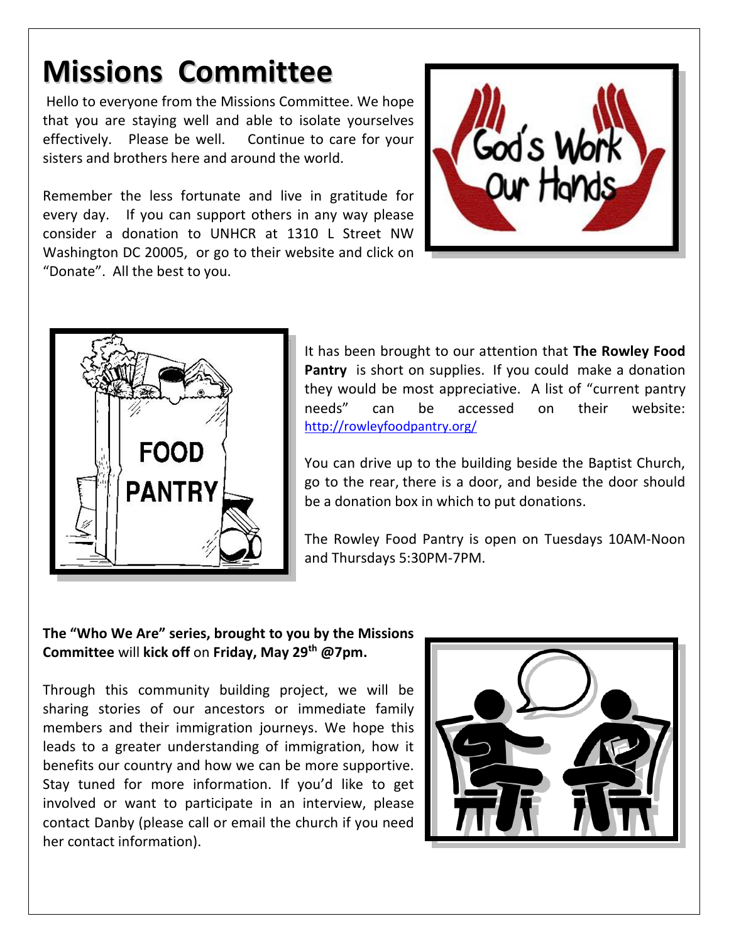### **Missions Committee**

Hello to everyone from the Missions Committee. We hope that you are staying well and able to isolate yourselves effectively. Please be well. Continue to care for your sisters and brothers here and around the world.

Remember the less fortunate and live in gratitude for every day. If you can support others in any way please consider a donation to UNHCR at 1310 L Street NW Washington DC 20005, or go to their website and click on "Donate". All the best to you.





It has been brought to our attention that **The Rowley Food Pantry** is short on supplies. If you could make a donation they would be most appreciative. A list of "current pantry needs" can be accessed on their website: <http://rowleyfoodpantry.org/>

You can drive up to the building beside the Baptist Church, go to the rear, there is a door, and beside the door should be a donation box in which to put donations.

The Rowley Food Pantry is open on Tuesdays 10AM-Noon and Thursdays 5:30PM-7PM.

#### **The "Who We Are" series, brought to you by the Missions Committee** will **kick off** on **Friday, May 29th @7pm.**

Through this community building project, we will be sharing stories of our ancestors or immediate family members and their immigration journeys. We hope this leads to a greater understanding of immigration, how it benefits our country and how we can be more supportive. Stay tuned for more information. If you'd like to get involved or want to participate in an interview, please contact Danby (please call or email the church if you need her contact information).

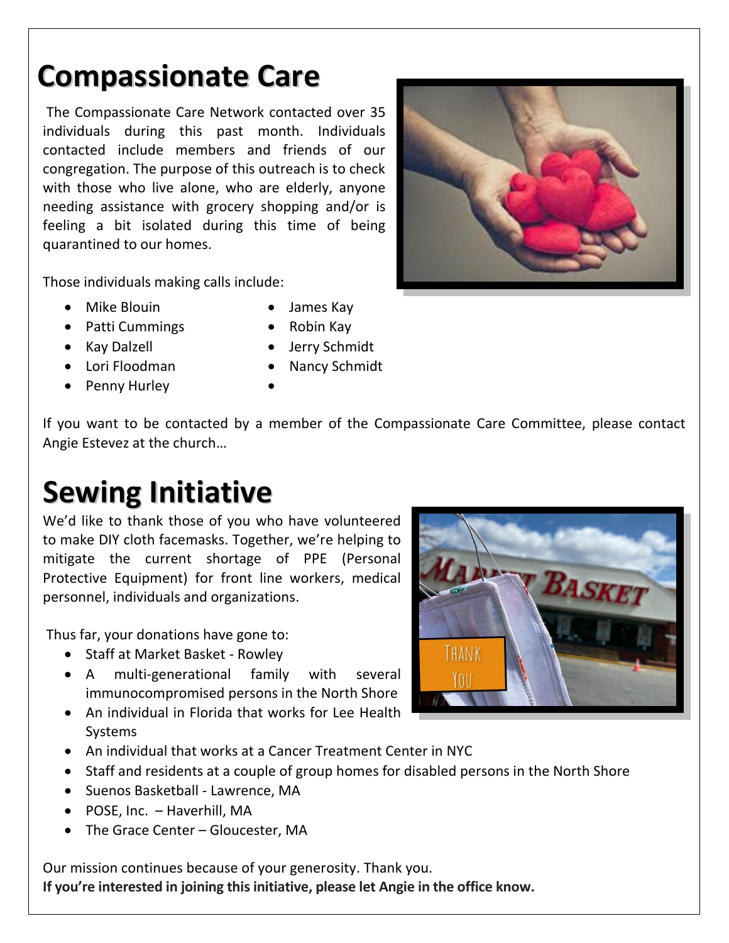### **Compassionate Care**

The Compassionate Care Network contacted over 35 The Compassionate Care Network contacted over 35 individuals during this past month. Individuals contacted include members and friends of our congregation. The purpose of this outreach is to check with those who live alone, who are elderly, anyone needing assistance with grocery shopping and/or is feeling a bit isolated during this time of being quarantined to our homes.



Those individuals making calls include:

- Mike Blouin James Kay
- Patti Cummings Robin Kay
- 
- Penny Hurley
- Kay Dalzell **•** Jerry Schmidt
- Lori Floodman Nancy Schmidt

If you want to be contacted by a member of the Compassionate Care Committee, please contact Angie Estevez at the church…

### **Sewing Initiative**

We'd like to thank those of you who have volunteered to make DIY cloth facemasks. Together, we're helping to mitigate the current shortage of PPE (Personal Protective Equipment) for front line workers, medical personnel, individuals and organizations.

Thus far, your donations have gone to:

- Staff at Market Basket Rowley
- A multi-generational family with several immunocompromised persons in the North Shore
- An individual in Florida that works for Lee Health Systems



- An individual that works at a Cancer Treatment Center in NYC
- Staff and residents at a couple of group homes for disabled persons in the North Shore
- Suenos Basketball Lawrence, MA
- POSE, Inc. Haverhill, MA
- The Grace Center Gloucester, MA

Our mission continues because of your generosity. Thank you. **If you're interested in joining this initiative, please let Angie in the office know.**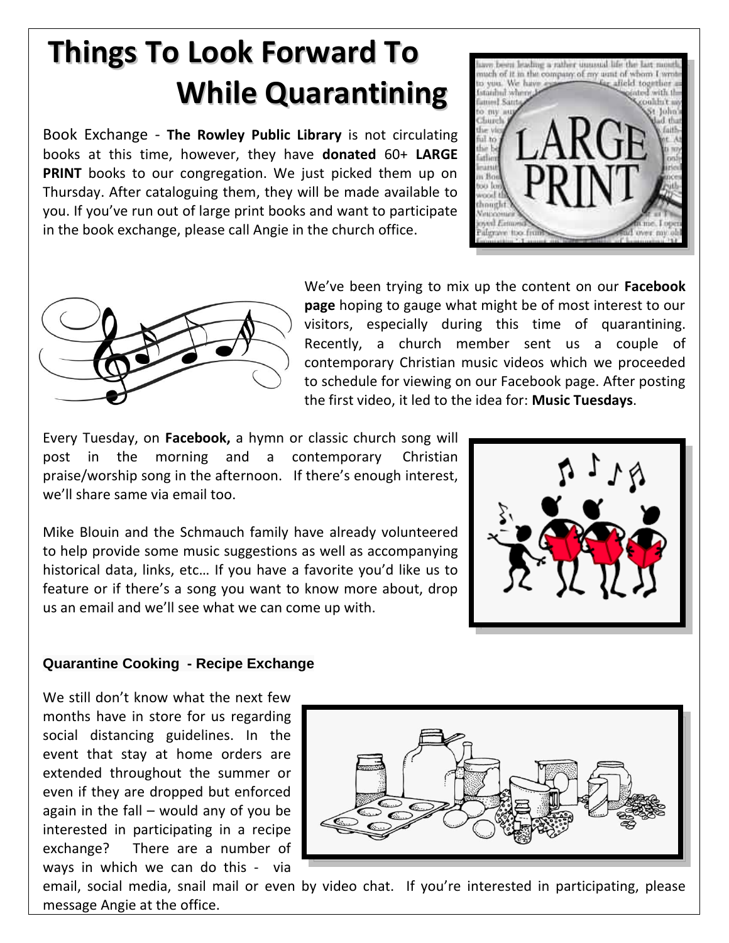## **Things To Look Forward To While Quarantining**

Book Exchange - **The Rowley Public Library** is not circulating books at this time, however, they have **donated** 60+ **LARGE PRINT** books to our congregation. We just picked them up on Thursday. After cataloguing them, they will be made available to you. If you've run out of large print books and want to participate in the book exchange, please call Angie in the church office.





We've been trying to mix up the content on our **Facebook page** hoping to gauge what might be of most interest to our visitors, especially during this time of quarantining. Recently, a church member sent us a couple of contemporary Christian music videos which we proceeded to schedule for viewing on our Facebook page. After posting the first video, it led to the idea for: **Music Tuesdays**.

Every Tuesday, on **Facebook,** a hymn or classic church song will post in the morning and a contemporary Christian praise/worship song in the afternoon. If there's enough interest, we'll share same via email too.

Mike Blouin and the Schmauch family have already volunteered to help provide some music suggestions as well as accompanying historical data, links, etc… If you have a favorite you'd like us to feature or if there's a song you want to know more about, drop us an email and we'll see what we can come up with.



#### **Quarantine Cooking - Recipe Exchange**

We still don't know what the next few months have in store for us regarding social distancing guidelines. In the event that stay at home orders are extended throughout the summer or even if they are dropped but enforced again in the fall – would any of you be interested in participating in a recipe exchange? There are a number of ways in which we can do this - via



email, social media, snail mail or even by video chat. If you're interested in participating, please message Angie at the office.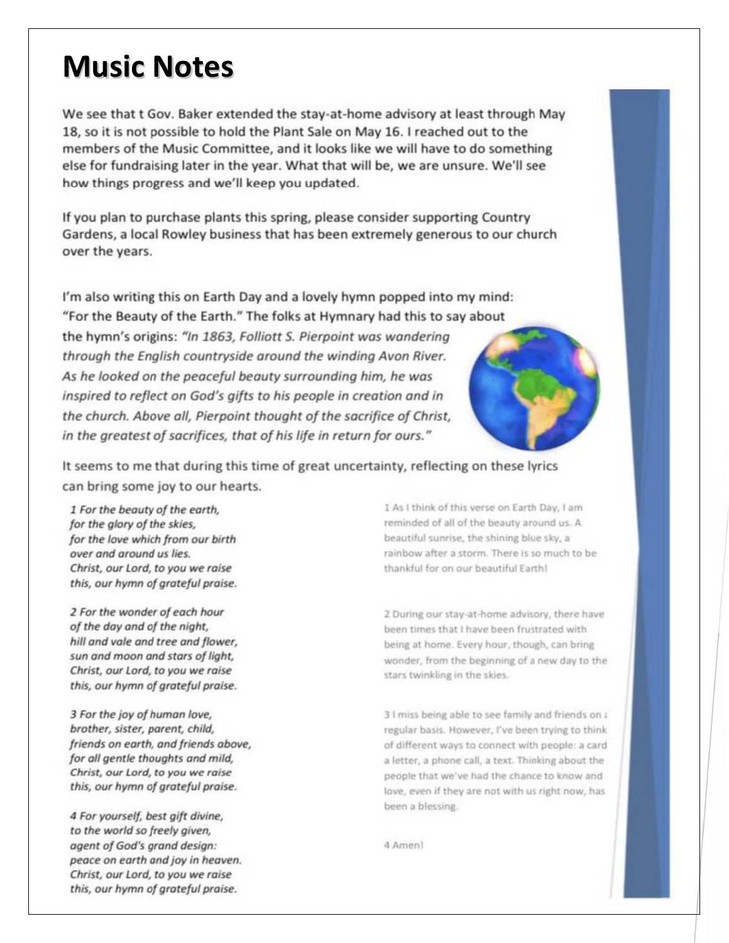### **Music Notes**

We see that t Gov. Baker extended the stay-at-home advisory at least through May 18, so it is not possible to hold the Plant Sale on May 16. I reached out to the members of the Music Committee, and it looks like we will have to do something else for fundraising later in the year. What that will be, we are unsure. We'll see how things progress and we'll keep you updated.

If you plan to purchase plants this spring, please consider supporting Country Gardens, a local Rowley business that has been extremely generous to our church over the years.

I'm also writing this on Earth Day and a lovely hymn popped into my mind: "For the Beauty of the Earth." The folks at Hymnary had this to say about the hymn's origins: "In 1863, Folliott S. Pierpoint was wandering through the English countryside around the winding Avon River. As he looked on the peaceful beauty surrounding him, he was inspired to reflect on God's gifts to his people in creation and in the church. Above all, Pierpoint thought of the sacrifice of Christ, in the greatest of sacrifices, that of his life in return for ours."



It seems to me that during this time of great uncertainty, reflecting on these lyrics can bring some joy to our hearts.

1 For the beauty of the earth, for the glory of the skies, for the love which from our birth over and around us lies. Christ, our Lord, to you we raise this, our hymn of grateful praise.

2 For the wonder of each hour of the day and of the night, hill and vale and tree and flower. sun and moon and stars of light, Christ, our Lord, to you we raise this, our hymn of grateful praise.

3 For the joy of human love, brother, sister, parent, child, friends on earth, and friends above, for all gentle thoughts and mild, Christ, our Lord, to you we raise this, our hymn of grateful praise.

4 For yourself, best gift divine, to the world so freely given, agent of God's grand design: peace on earth and joy in heaven. Christ, our Lord, to you we raise this, our hymn of grateful praise.

1 As I think of this verse on Earth Day, I am reminded of all of the beauty around us. A beautiful sunrise, the shining blue sky, a rainbow after a storm. There is so much to be thankful for on our beautiful Earth!

2 During our stay-at-home advisory, there have been times that I have been frustrated with being at home. Every hour, though, can bring wonder, from the beginning of a new day to the stars twinkling in the skies.

3 I miss being able to see family and friends on a regular basis. However, I've been trying to think of different ways to connect with people: a card a letter, a phone call, a text. Thinking about the people that we've had the chance to know and love, even if they are not with us right now, has been a blessing.

4 Amen!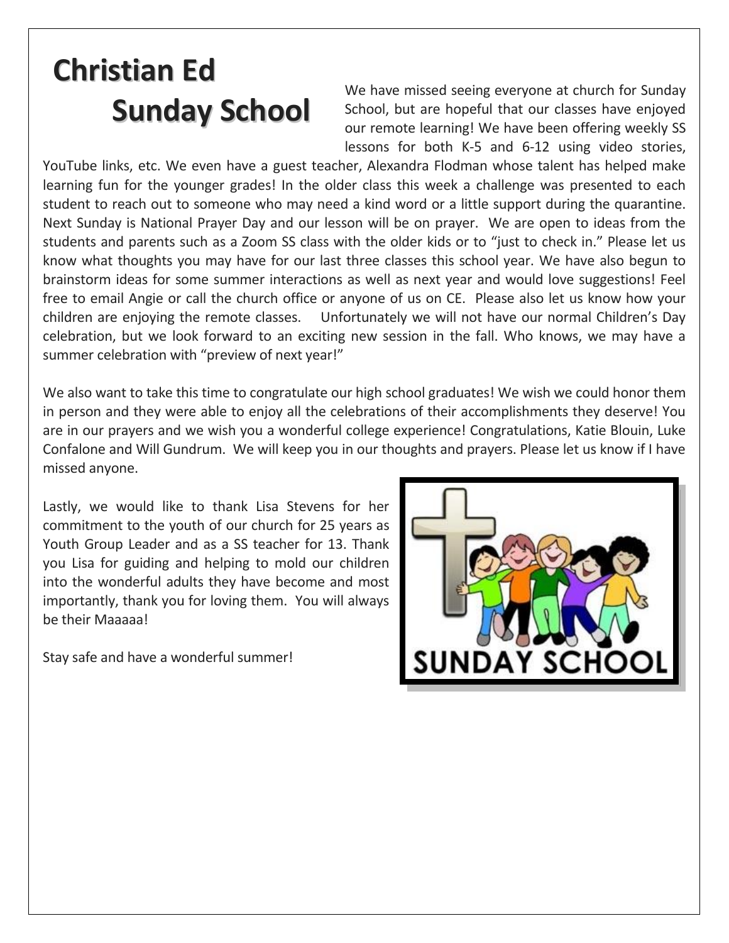# **Christian Ed Sunday School**

We have missed seeing everyone at church for Sunday School, but are hopeful that our classes have enjoyed our remote learning! We have been offering weekly SS lessons for both K-5 and 6-12 using video stories,

YouTube links, etc. We even have a guest teacher, Alexandra Flodman whose talent has helped make learning fun for the younger grades! In the older class this week a challenge was presented to each student to reach out to someone who may need a kind word or a little support during the quarantine. Next Sunday is National Prayer Day and our lesson will be on prayer. We are open to ideas from the students and parents such as a Zoom SS class with the older kids or to "just to check in." Please let us know what thoughts you may have for our last three classes this school year. We have also begun to brainstorm ideas for some summer interactions as well as next year and would love suggestions! Feel free to email Angie or call the church office or anyone of us on CE. Please also let us know how your children are enjoying the remote classes. Unfortunately we will not have our normal Children's Day celebration, but we look forward to an exciting new session in the fall. Who knows, we may have a summer celebration with "preview of next year!"

We also want to take this time to congratulate our high school graduates! We wish we could honor them in person and they were able to enjoy all the celebrations of their accomplishments they deserve! You are in our prayers and we wish you a wonderful college experience! Congratulations, Katie Blouin, Luke Confalone and Will Gundrum. We will keep you in our thoughts and prayers. Please let us know if I have missed anyone.

Lastly, we would like to thank Lisa Stevens for her commitment to the youth of our church for 25 years as Youth Group Leader and as a SS teacher for 13. Thank you Lisa for guiding and helping to mold our children into the wonderful adults they have become and most importantly, thank you for loving them. You will always be their Maaaaa!

Stay safe and have a wonderful summer!

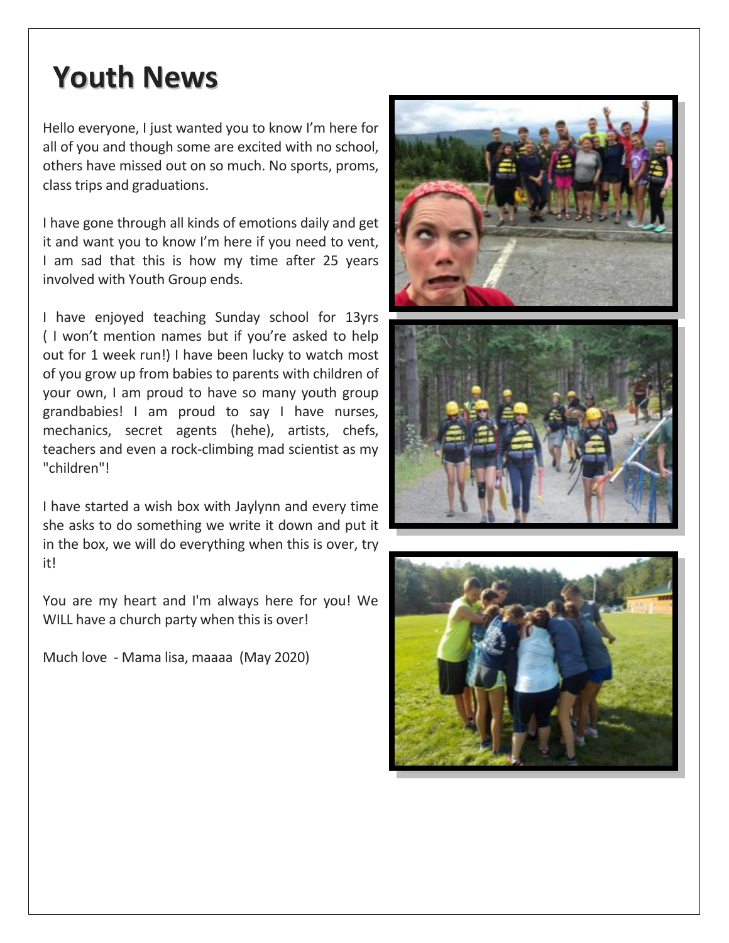### **Youth News**

Hello everyone, I just wanted you to know I'm here for all of you and though some are excited with no school, others have missed out on so much. No sports, proms, class trips and graduations.

I have gone through all kinds of emotions daily and get it and want you to know I'm here if you need to vent, I am sad that this is how my time after 25 years involved with Youth Group ends.

I have enjoyed teaching Sunday school for 13yrs ( I won't mention names but if you're asked to help out for 1 week run!) I have been lucky to watch most of you grow up from babies to parents with children of your own, I am proud to have so many youth group grandbabies! I am proud to say I have nurses, mechanics, secret agents (hehe), artists, chefs, teachers and even a rock-climbing mad scientist as my "children"!

I have started a wish box with Jaylynn and every time she asks to do something we write it down and put it in the box, we will do everything when this is over, try it!

You are my heart and I'm always here for you! We WILL have a church party when this is over!

Much love - Mama lisa, maaaa (May 2020)